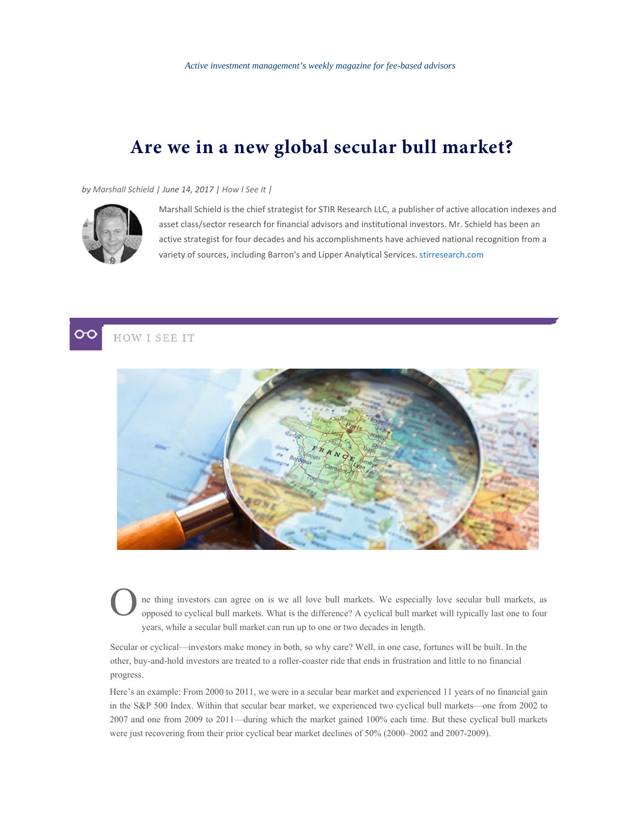## **Are we in a new global secular bull market?**

*by Marshall Schield | June 14, 2017 | How I See It |*



Marshall Schield is the chief strategist for STIR Research LLC, a publisher of active allocation indexes and asset class/sector research for financial advisors and institutional investors. Mr. Schield has been an active strategist for four decades and his accomplishments have achieved national recognition from a variety of sources, including Barron's and Lipper Analytical Services. stirresearch.com





ne thing investors can agree on is we all love bull markets. We especially love secular bull markets, as opposed to cyclical bull markets. What is the difference? A cyclical bull market will typically last one to four years, while a secular bull market can run up to one or two decades in length.

Secular or cyclical—investors make money in both, so why care? Well, in one case, fortunes will be built. In the other, buy-and-hold investors are treated to a roller-coaster ride that ends in frustration and little to no financial progress.

Here's an example: From 2000 to 2011, we were in a secular bear market and experienced 11 years of no financial gain in the S&P 500 Index. Within that secular bear market, we experienced two cyclical bull markets—one from 2002 to 2007 and one from 2009 to 2011—during which the market gained 100% each time. But these cyclical bull markets were just recovering from their prior cyclical bear market declines of 50% (2000–2002 and 2007-2009).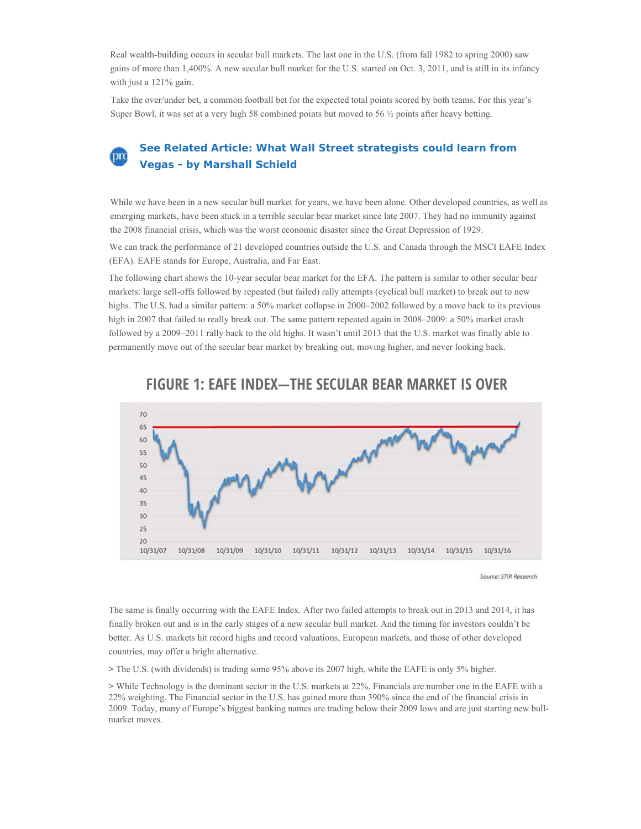Real wealth-building occurs in secular bull markets. The last one in the U.S. (from fall 1982 to spring 2000) saw gains of more than 1,400%. A new secular bull market for the U.S. started on Oct. 3, 2011, and is still in its infancy with just a 121% gain.

Take the over/under bet, a common football bet for the expected total points scored by both teams. For this year's Super Bowl, it was set at a very high 58 combined points but moved to 56 ½ points after heavy betting.

## **See Related Article: What Wall Street strategists could learn from**  prc **Vegas - by Marshall Schield**

While we have been in a new secular bull market for years, we have been alone. Other developed countries, as well as emerging markets, have been stuck in a terrible secular bear market since late 2007. They had no immunity against the 2008 financial crisis, which was the worst economic disaster since the Great Depression of 1929.

We can track the performance of 21 developed countries outside the U.S. and Canada through the MSCI EAFE Index (EFA). EAFE stands for Europe, Australia, and Far East.

The following chart shows the 10-year secular bear market for the EFA. The pattern is similar to other secular bear markets: large sell-offs followed by repeated (but failed) rally attempts (cyclical bull market) to break out to new highs. The U.S. had a similar pattern: a 50% market collapse in 2000–2002 followed by a move back to its previous high in 2007 that failed to really break out. The same pattern repeated again in 2008–2009: a 50% market crash followed by a 2009–2011 rally back to the old highs. It wasn't until 2013 that the U.S. market was finally able to permanently move out of the secular bear market by breaking out, moving higher, and never looking back.



## **FIGURE 1: EAFE INDEX—THE SECULAR BEAR MARKET IS OVER**

Source: STIR Research

The same is finally occurring with the EAFE Index. After two failed attempts to break out in 2013 and 2014, it has finally broken out and is in the early stages of a new secular bull market. And the timing for investors couldn't be better. As U.S. markets hit record highs and record valuations, European markets, and those of other developed countries, may offer a bright alternative.

**>** The U.S. (with dividends) is trading some 95% above its 2007 high, while the EAFE is only 5% higher.

**>** While Technology is the dominant sector in the U.S. markets at 22%, Financials are number one in the EAFE with a 22% weighting. The Financial sector in the U.S. has gained more than 390% since the end of the financial crisis in 2009. Today, many of Europe's biggest banking names are trading below their 2009 lows and are just starting new bullmarket moves.